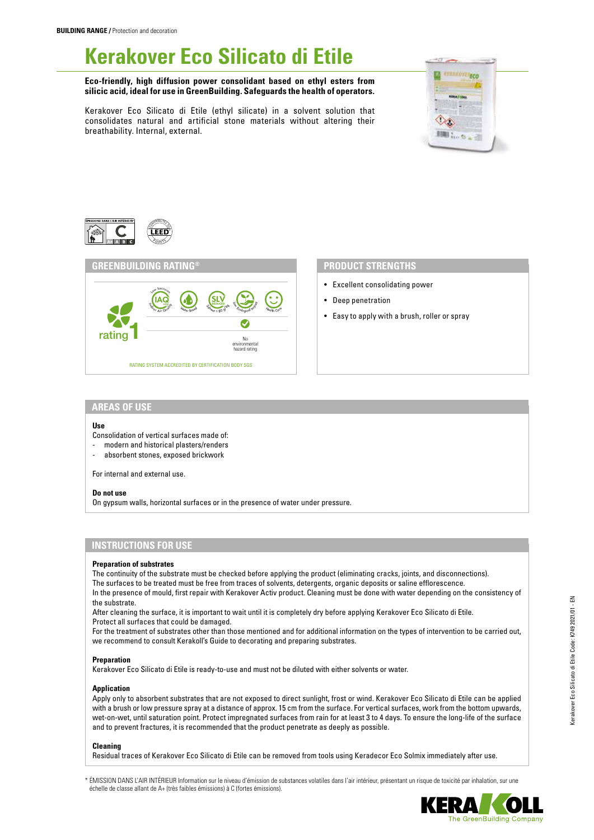# **Kerakover Eco Silicato di Etile**

**Eco-friendly, high diffusion power consolidant based on ethyl esters from silicic acid, ideal for use in GreenBuilding. Safeguards the health of operators.**

Kerakover Eco Silicato di Etile (ethyl silicate) in a solvent solution that consolidates natural and artificial stone materials without altering their breathability. Internal, external.







# **PRODUCT STRENGTHS**

- Excellent consolidating power
- Deep penetration
- Easy to apply with a brush, roller or spray

## **AREAS OF USE**

## **Use**

Consolidation of vertical surfaces made of:

- modern and historical plasters/renders
- absorbent stones, exposed brickwork

For internal and external use.

## **Do not use**

On gypsum walls, horizontal surfaces or in the presence of water under pressure.

# **INSTRUCTIONS FOR USE**

## **Preparation of substrates**

The continuity of the substrate must be checked before applying the product (eliminating cracks, joints, and disconnections). The surfaces to be treated must be free from traces of solvents, detergents, organic deposits or saline efflorescence.

In the presence of mould, first repair with Kerakover Activ product. Cleaning must be done with water depending on the consistency of the substrate.

After cleaning the surface, it is important to wait until it is completely dry before applying Kerakover Eco Silicato di Etile. Protect all surfaces that could be damaged.

For the treatment of substrates other than those mentioned and for additional information on the types of intervention to be carried out, we recommend to consult Kerakoll's Guide to decorating and preparing substrates.

## **Preparation**

Kerakover Eco Silicato di Etile is ready-to-use and must not be diluted with either solvents or water.

## **Application**

Apply only to absorbent substrates that are not exposed to direct sunlight, frost or wind. Kerakover Eco Silicato di Etile can be applied with a brush or low pressure spray at a distance of approx. 15 cm from the surface. For vertical surfaces, work from the bottom upwards, wet-on-wet, until saturation point. Protect impregnated surfaces from rain for at least 3 to 4 days. To ensure the long-life of the surface and to prevent fractures, it is recommended that the product penetrate as deeply as possible.

## **Cleaning**

Residual traces of Kerakover Eco Silicato di Etile can be removed from tools using Keradecor Eco Solmix immediately after use.

\* ÉMISSION DANS L'AIR INTÉRIEUR Information sur le niveau d'émission de substances volatiles dans l'air intérieur, présentant un risque de toxicité par inhalation, sur une échelle de classe allant de A+ (très faibles émissions) à C (fortes émissions).